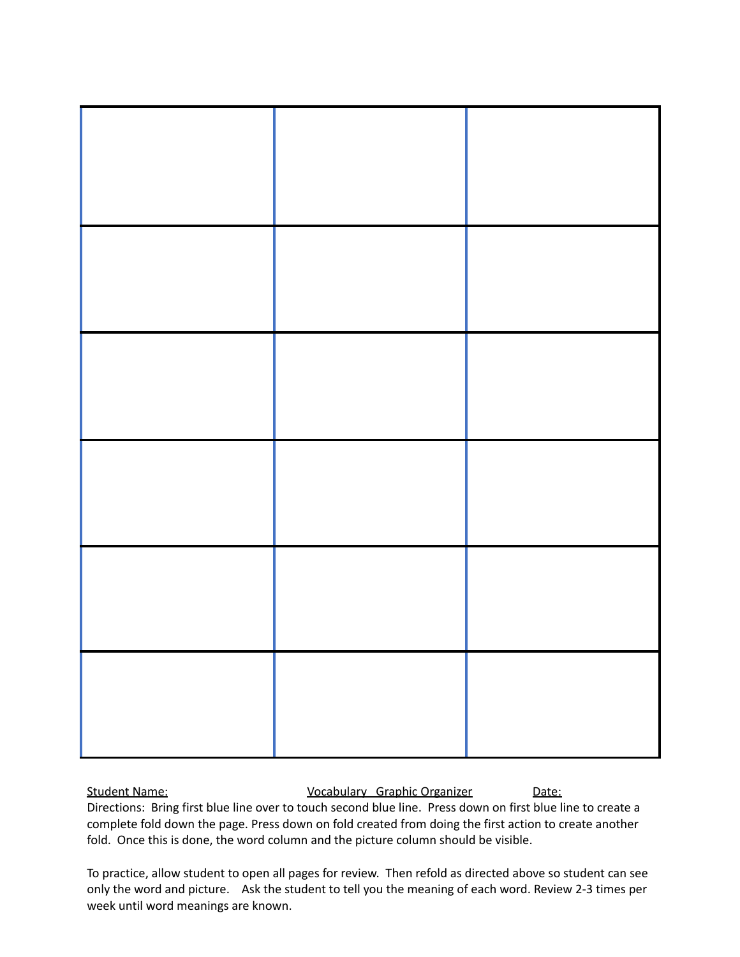Student Name: Capaca Controllery Graphic Organizer Chate:

Directions: Bring first blue line over to touch second blue line. Press down on first blue line to create a complete fold down the page. Press down on fold created from doing the first action to create another fold. Once this is done, the word column and the picture column should be visible.

To practice, allow student to open all pages for review. Then refold as directed above so student can see only the word and picture. Ask the student to tell you the meaning of each word. Review 2-3 times per week until word meanings are known.